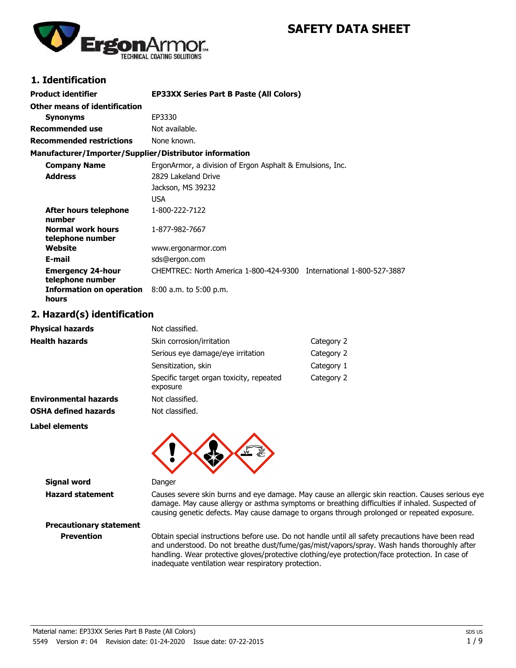# **SAFETY DATA SHEET**



## **1. Identification**

| <b>Product identifier</b>                                         | <b>EP33XX Series Part B Paste (All Colors)</b>                      |
|-------------------------------------------------------------------|---------------------------------------------------------------------|
| Other means of identification                                     |                                                                     |
| <b>Synonyms</b>                                                   | EP3330                                                              |
| <b>Recommended use</b>                                            | Not available.                                                      |
| <b>Recommended restrictions</b>                                   | None known.                                                         |
| Manufacturer/Importer/Supplier/Distributor information            |                                                                     |
| <b>Company Name</b>                                               | ErgonArmor, a division of Ergon Asphalt & Emulsions, Inc.           |
| <b>Address</b>                                                    | 2829 Lakeland Drive                                                 |
|                                                                   | Jackson, MS 39232                                                   |
|                                                                   | USA                                                                 |
| After hours telephone<br>number                                   | 1-800-222-7122                                                      |
| <b>Normal work hours</b><br>telephone number                      | 1-877-982-7667                                                      |
| Website                                                           | www.ergonarmor.com                                                  |
| E-mail                                                            | sds@ergon.com                                                       |
| <b>Emergency 24-hour</b><br>telephone number                      | CHEMTREC: North America 1-800-424-9300 International 1-800-527-3887 |
| <b>Information on operation</b> $8:00$ a.m. to 5:00 p.m.<br>hours |                                                                     |

## **2. Hazard(s) identification**

| <b>Physical hazards</b>      | Not classified.                                      |            |
|------------------------------|------------------------------------------------------|------------|
| <b>Health hazards</b>        | Skin corrosion/irritation                            | Category 2 |
|                              | Serious eye damage/eye irritation                    | Category 2 |
|                              | Sensitization, skin                                  | Category 1 |
|                              | Specific target organ toxicity, repeated<br>exposure | Category 2 |
| <b>Environmental hazards</b> | Not classified.                                      |            |
| <b>OSHA defined hazards</b>  | Not classified.                                      |            |
| Label elements               |                                                      |            |



**Signal word Danger** 

**Hazard statement** Causes severe skin burns and eye damage. May cause an allergic skin reaction. Causes serious eye damage. May cause allergy or asthma symptoms or breathing difficulties if inhaled. Suspected of causing genetic defects. May cause damage to organs through prolonged or repeated exposure.

**Precautionary statement**

**Prevention** Obtain special instructions before use. Do not handle until all safety precautions have been read and understood. Do not breathe dust/fume/gas/mist/vapors/spray. Wash hands thoroughly after handling. Wear protective gloves/protective clothing/eye protection/face protection. In case of inadequate ventilation wear respiratory protection.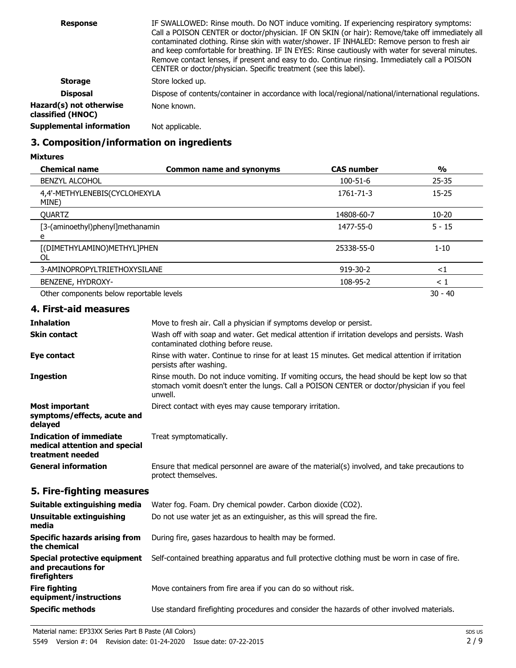| <b>Response</b>                              | IF SWALLOWED: Rinse mouth. Do NOT induce vomiting. If experiencing respiratory symptoms:<br>Call a POISON CENTER or doctor/physician. IF ON SKIN (or hair): Remove/take off immediately all<br>contaminated clothing. Rinse skin with water/shower. IF INHALED: Remove person to fresh air<br>and keep comfortable for breathing. IF IN EYES: Rinse cautiously with water for several minutes.<br>Remove contact lenses, if present and easy to do. Continue rinsing. Immediately call a POISON<br>CENTER or doctor/physician. Specific treatment (see this label). |
|----------------------------------------------|---------------------------------------------------------------------------------------------------------------------------------------------------------------------------------------------------------------------------------------------------------------------------------------------------------------------------------------------------------------------------------------------------------------------------------------------------------------------------------------------------------------------------------------------------------------------|
| <b>Storage</b>                               | Store locked up.                                                                                                                                                                                                                                                                                                                                                                                                                                                                                                                                                    |
| <b>Disposal</b>                              | Dispose of contents/container in accordance with local/regional/national/international regulations.                                                                                                                                                                                                                                                                                                                                                                                                                                                                 |
| Hazard(s) not otherwise<br>classified (HNOC) | None known.                                                                                                                                                                                                                                                                                                                                                                                                                                                                                                                                                         |
| Supplemental information                     | Not applicable.                                                                                                                                                                                                                                                                                                                                                                                                                                                                                                                                                     |

## **3. Composition/information on ingredients**

**Mixtures**

| <b>Chemical name</b>                     | <b>Common name and synonyms</b> | <b>CAS number</b> | $\frac{0}{0}$ |
|------------------------------------------|---------------------------------|-------------------|---------------|
| <b>BENZYL ALCOHOL</b>                    |                                 | 100-51-6          | $25 - 35$     |
| 4,4'-METHYLENEBIS(CYCLOHEXYLA<br>MINE)   |                                 | 1761-71-3         | $15 - 25$     |
| <b>OUARTZ</b>                            |                                 | 14808-60-7        | $10 - 20$     |
| [3-(aminoethyl)phenyl]methanamin<br>e    |                                 | 1477-55-0         | $5 - 15$      |
| [(DIMETHYLAMINO)METHYL]PHEN<br>OL        |                                 | 25338-55-0        | $1 - 10$      |
| 3-AMINOPROPYLTRIETHOXYSILANE             |                                 | 919-30-2          | ${<}1$        |
| BENZENE, HYDROXY-                        |                                 | 108-95-2          | $\leq 1$      |
| Other components below reportable levels |                                 |                   | $30 - 40$     |

## **4. First-aid measures**

| <b>Inhalation</b>                                                                   | Move to fresh air. Call a physician if symptoms develop or persist.                                                                                                                                    |
|-------------------------------------------------------------------------------------|--------------------------------------------------------------------------------------------------------------------------------------------------------------------------------------------------------|
| <b>Skin contact</b>                                                                 | Wash off with soap and water. Get medical attention if irritation develops and persists. Wash<br>contaminated clothing before reuse.                                                                   |
| Eye contact                                                                         | Rinse with water. Continue to rinse for at least 15 minutes. Get medical attention if irritation<br>persists after washing.                                                                            |
| <b>Ingestion</b>                                                                    | Rinse mouth. Do not induce vomiting. If vomiting occurs, the head should be kept low so that<br>stomach vomit doesn't enter the lungs. Call a POISON CENTER or doctor/physician if you feel<br>unwell. |
| <b>Most important</b><br>symptoms/effects, acute and<br>delayed                     | Direct contact with eyes may cause temporary irritation.                                                                                                                                               |
| <b>Indication of immediate</b><br>medical attention and special<br>treatment needed | Treat symptomatically.                                                                                                                                                                                 |
| <b>General information</b>                                                          | Ensure that medical personnel are aware of the material(s) involved, and take precautions to<br>protect themselves.                                                                                    |
| 5. Fire-fighting measures                                                           |                                                                                                                                                                                                        |
| Suitable extinguishing media                                                        | Water fog. Foam. Dry chemical powder. Carbon dioxide (CO2).                                                                                                                                            |
| Unsuitable extinguishing<br>media                                                   | Do not use water jet as an extinguisher, as this will spread the fire.                                                                                                                                 |
| <b>Specific hazards arising from</b><br>the chemical                                | During fire, gases hazardous to health may be formed.                                                                                                                                                  |
| <b>Special protective equipment</b><br>and precautions for<br>firefighters          | Self-contained breathing apparatus and full protective clothing must be worn in case of fire.                                                                                                          |
| <b>Fire fighting</b><br>equipment/instructions                                      | Move containers from fire area if you can do so without risk.                                                                                                                                          |
| <b>Specific methods</b>                                                             | Use standard firefighting procedures and consider the hazards of other involved materials.                                                                                                             |
|                                                                                     |                                                                                                                                                                                                        |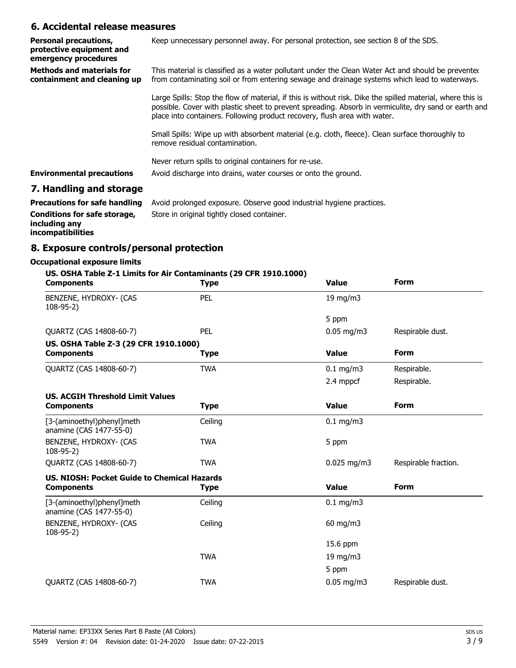## **6. Accidental release measures**

| <b>Personal precautions,</b><br>protective equipment and<br>emergency procedures | Keep unnecessary personnel away. For personal protection, see section 8 of the SDS.                                                                                                                                                                                                              |
|----------------------------------------------------------------------------------|--------------------------------------------------------------------------------------------------------------------------------------------------------------------------------------------------------------------------------------------------------------------------------------------------|
| <b>Methods and materials for</b><br>containment and cleaning up                  | This material is classified as a water pollutant under the Clean Water Act and should be prevented<br>from contaminating soil or from entering sewage and drainage systems which lead to waterways.                                                                                              |
|                                                                                  | Large Spills: Stop the flow of material, if this is without risk. Dike the spilled material, where this is<br>possible. Cover with plastic sheet to prevent spreading. Absorb in vermiculite, dry sand or earth and<br>place into containers. Following product recovery, flush area with water. |
|                                                                                  | Small Spills: Wipe up with absorbent material (e.g. cloth, fleece). Clean surface thoroughly to<br>remove residual contamination.                                                                                                                                                                |
| <b>Environmental precautions</b>                                                 | Never return spills to original containers for re-use.<br>Avoid discharge into drains, water courses or onto the ground.                                                                                                                                                                         |
|                                                                                  |                                                                                                                                                                                                                                                                                                  |

## **7. Handling and storage**

| <b>Precautions for safe handling</b>                               | Avoid prolonged exposure. Observe good industrial hygiene practices. |
|--------------------------------------------------------------------|----------------------------------------------------------------------|
| Conditions for safe storage,<br>including any<br>incompatibilities | Store in original tightly closed container.                          |

# **8. Exposure controls/personal protection**

## **Occupational exposure limits**

| US. OSHA Table Z-1 Limits for Air Contaminants (29 CFR 1910.1000)<br><b>Components</b> | <b>Type</b> | <b>Value</b>           | <b>Form</b>          |
|----------------------------------------------------------------------------------------|-------------|------------------------|----------------------|
| BENZENE, HYDROXY- (CAS<br>$108-95-2)$                                                  | PEL         | 19 mg/m3               |                      |
|                                                                                        |             | 5 ppm                  |                      |
| QUARTZ (CAS 14808-60-7)                                                                | PEL         | $0.05 \,\mathrm{mg/m}$ | Respirable dust.     |
| US. OSHA Table Z-3 (29 CFR 1910.1000)                                                  |             |                        |                      |
| <b>Components</b>                                                                      | <b>Type</b> | <b>Value</b>           | <b>Form</b>          |
| QUARTZ (CAS 14808-60-7)                                                                | <b>TWA</b>  | $0.1$ mg/m3            | Respirable.          |
|                                                                                        |             | 2.4 mppcf              | Respirable.          |
| <b>US. ACGIH Threshold Limit Values</b>                                                |             |                        |                      |
| <b>Components</b>                                                                      | <b>Type</b> | <b>Value</b>           | <b>Form</b>          |
| [3-(aminoethyl)phenyl]meth<br>anamine (CAS 1477-55-0)                                  | Ceiling     | $0.1$ mg/m3            |                      |
| BENZENE, HYDROXY- (CAS<br>$108 - 95 - 2$                                               | <b>TWA</b>  | 5 ppm                  |                      |
| QUARTZ (CAS 14808-60-7)                                                                | <b>TWA</b>  | $0.025$ mg/m3          | Respirable fraction. |
| US. NIOSH: Pocket Guide to Chemical Hazards                                            |             |                        |                      |
| <b>Components</b>                                                                      | <b>Type</b> | <b>Value</b>           | <b>Form</b>          |
| [3-(aminoethyl)phenyl]meth<br>anamine (CAS 1477-55-0)                                  | Ceiling     | $0.1$ mg/m3            |                      |
| BENZENE, HYDROXY- (CAS<br>$108-95-2)$                                                  | Ceiling     | $60$ mg/m3             |                      |
|                                                                                        |             | 15.6 ppm               |                      |
|                                                                                        | <b>TWA</b>  | 19 mg/m3               |                      |
|                                                                                        |             | 5 ppm                  |                      |
| QUARTZ (CAS 14808-60-7)                                                                | <b>TWA</b>  | $0.05$ mg/m3           | Respirable dust.     |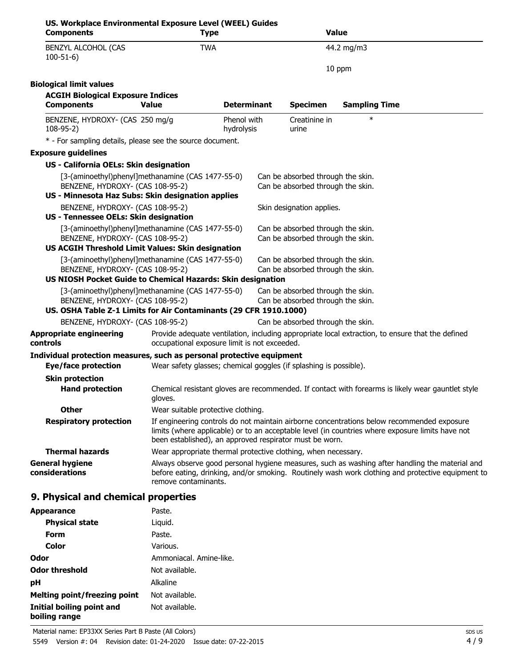| US. Workplace Environmental Exposure Level (WEEL) Guides<br><b>Components</b>                                                              | <b>Type</b>                                                       |                           | <b>Value</b>                                                           |                      |                                                                                                                                                                                                     |
|--------------------------------------------------------------------------------------------------------------------------------------------|-------------------------------------------------------------------|---------------------------|------------------------------------------------------------------------|----------------------|-----------------------------------------------------------------------------------------------------------------------------------------------------------------------------------------------------|
| BENZYL ALCOHOL (CAS<br>$100-51-6$                                                                                                          | <b>TWA</b>                                                        |                           |                                                                        | 44.2 mg/m3           |                                                                                                                                                                                                     |
|                                                                                                                                            |                                                                   |                           |                                                                        | 10 ppm               |                                                                                                                                                                                                     |
| <b>Biological limit values</b>                                                                                                             |                                                                   |                           |                                                                        |                      |                                                                                                                                                                                                     |
| <b>ACGIH Biological Exposure Indices</b><br><b>Components</b>                                                                              | <b>Value</b>                                                      | <b>Determinant</b>        | <b>Specimen</b>                                                        | <b>Sampling Time</b> |                                                                                                                                                                                                     |
| BENZENE, HYDROXY- (CAS 250 mg/g<br>$108-95-2)$                                                                                             |                                                                   | Phenol with<br>hydrolysis | Creatinine in<br>urine                                                 | $\ast$               |                                                                                                                                                                                                     |
| * - For sampling details, please see the source document.                                                                                  |                                                                   |                           |                                                                        |                      |                                                                                                                                                                                                     |
| <b>Exposure guidelines</b>                                                                                                                 |                                                                   |                           |                                                                        |                      |                                                                                                                                                                                                     |
| US - California OELs: Skin designation                                                                                                     |                                                                   |                           |                                                                        |                      |                                                                                                                                                                                                     |
| [3-(aminoethyl)phenyl]methanamine (CAS 1477-55-0)<br>BENZENE, HYDROXY- (CAS 108-95-2)<br>US - Minnesota Haz Subs: Skin designation applies |                                                                   |                           | Can be absorbed through the skin.<br>Can be absorbed through the skin. |                      |                                                                                                                                                                                                     |
| BENZENE, HYDROXY- (CAS 108-95-2)                                                                                                           |                                                                   |                           | Skin designation applies.                                              |                      |                                                                                                                                                                                                     |
| US - Tennessee OELs: Skin designation                                                                                                      |                                                                   |                           |                                                                        |                      |                                                                                                                                                                                                     |
| [3-(aminoethyl)phenyl]methanamine (CAS 1477-55-0)<br>BENZENE, HYDROXY- (CAS 108-95-2)                                                      |                                                                   |                           | Can be absorbed through the skin.<br>Can be absorbed through the skin. |                      |                                                                                                                                                                                                     |
| US ACGIH Threshold Limit Values: Skin designation                                                                                          |                                                                   |                           |                                                                        |                      |                                                                                                                                                                                                     |
| [3-(aminoethyl)phenyl]methanamine (CAS 1477-55-0)<br>BENZENE, HYDROXY- (CAS 108-95-2)                                                      |                                                                   |                           | Can be absorbed through the skin.<br>Can be absorbed through the skin. |                      |                                                                                                                                                                                                     |
| US NIOSH Pocket Guide to Chemical Hazards: Skin designation                                                                                |                                                                   |                           |                                                                        |                      |                                                                                                                                                                                                     |
| [3-(aminoethyl)phenyl]methanamine (CAS 1477-55-0)<br>BENZENE, HYDROXY- (CAS 108-95-2)                                                      |                                                                   |                           | Can be absorbed through the skin.<br>Can be absorbed through the skin. |                      |                                                                                                                                                                                                     |
| US. OSHA Table Z-1 Limits for Air Contaminants (29 CFR 1910.1000)                                                                          |                                                                   |                           |                                                                        |                      |                                                                                                                                                                                                     |
| BENZENE, HYDROXY- (CAS 108-95-2)                                                                                                           |                                                                   |                           | Can be absorbed through the skin.                                      |                      |                                                                                                                                                                                                     |
| <b>Appropriate engineering</b><br>controls                                                                                                 | occupational exposure limit is not exceeded.                      |                           |                                                                        |                      | Provide adequate ventilation, including appropriate local extraction, to ensure that the defined                                                                                                    |
| Individual protection measures, such as personal protective equipment                                                                      |                                                                   |                           |                                                                        |                      |                                                                                                                                                                                                     |
| <b>Eye/face protection</b>                                                                                                                 | Wear safety glasses; chemical goggles (if splashing is possible). |                           |                                                                        |                      |                                                                                                                                                                                                     |
| <b>Skin protection</b><br><b>Hand protection</b>                                                                                           | gloves.                                                           |                           |                                                                        |                      | Chemical resistant gloves are recommended. If contact with forearms is likely wear gauntlet style                                                                                                   |
| <b>Other</b>                                                                                                                               | Wear suitable protective clothing.                                |                           |                                                                        |                      |                                                                                                                                                                                                     |
| <b>Respiratory protection</b>                                                                                                              | been established), an approved respirator must be worn.           |                           |                                                                        |                      | If engineering controls do not maintain airborne concentrations below recommended exposure<br>limits (where applicable) or to an acceptable level (in countries where exposure limits have not      |
| <b>Thermal hazards</b>                                                                                                                     | Wear appropriate thermal protective clothing, when necessary.     |                           |                                                                        |                      |                                                                                                                                                                                                     |
| <b>General hygiene</b><br>considerations                                                                                                   | remove contaminants.                                              |                           |                                                                        |                      | Always observe good personal hygiene measures, such as washing after handling the material and<br>before eating, drinking, and/or smoking. Routinely wash work clothing and protective equipment to |
| 9. Physical and chemical properties                                                                                                        |                                                                   |                           |                                                                        |                      |                                                                                                                                                                                                     |
| <b>Appearance</b>                                                                                                                          | Paste.                                                            |                           |                                                                        |                      |                                                                                                                                                                                                     |
| <b>Physical state</b>                                                                                                                      | Liquid.                                                           |                           |                                                                        |                      |                                                                                                                                                                                                     |

| <b>Physical state</b>                      | Liguid.                 |
|--------------------------------------------|-------------------------|
| Form                                       | Paste.                  |
| Color                                      | Various.                |
| Odor                                       | Ammoniacal, Amine-like. |
| <b>Odor threshold</b>                      | Not available.          |
| рH                                         | <b>Alkaline</b>         |
| Melting point/freezing point               | Not available.          |
| Initial boiling point and<br>boiling range | Not available.          |
|                                            |                         |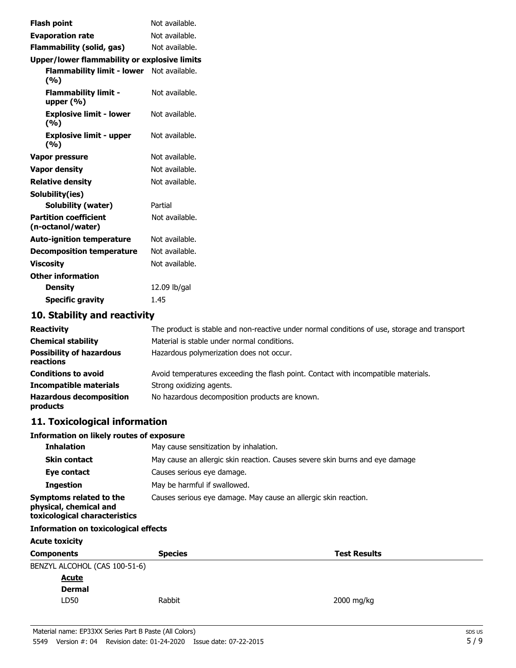| <b>Flash point</b>                                | Not available. |
|---------------------------------------------------|----------------|
| <b>Evaporation rate</b>                           | Not available. |
| Flammability (solid, gas)                         | Not available. |
| Upper/lower flammability or explosive limits      |                |
| Flammability limit - lower Not available.<br>(%)  |                |
| <b>Flammability limit -</b><br>upper $(\% )$      | Not available. |
| <b>Explosive limit - lower</b><br>(%)             | Not available. |
| <b>Explosive limit - upper</b><br>(9/6)           | Not available. |
| Vapor pressure                                    | Not available. |
| <b>Vapor density</b>                              | Not available. |
| <b>Relative density</b>                           | Not available. |
| Solubility(ies)                                   |                |
| <b>Solubility (water)</b>                         | Partial        |
| <b>Partition coefficient</b><br>(n-octanol/water) | Not available. |
| <b>Auto-ignition temperature</b>                  | Not available. |
| <b>Decomposition temperature</b>                  | Not available. |
| <b>Viscosity</b>                                  | Not available. |
| <b>Other information</b>                          |                |
| <b>Density</b>                                    | 12.09 lb/gal   |
| <b>Specific gravity</b>                           | 1.45           |
|                                                   |                |

## **10. Stability and reactivity**

| <b>Reactivity</b>                            | The product is stable and non-reactive under normal conditions of use, storage and transport |
|----------------------------------------------|----------------------------------------------------------------------------------------------|
| <b>Chemical stability</b>                    | Material is stable under normal conditions.                                                  |
| <b>Possibility of hazardous</b><br>reactions | Hazardous polymerization does not occur.                                                     |
| <b>Conditions to avoid</b>                   | Avoid temperatures exceeding the flash point. Contact with incompatible materials.           |
| <b>Incompatible materials</b>                | Strong oxidizing agents.                                                                     |
| <b>Hazardous decomposition</b><br>products   | No hazardous decomposition products are known.                                               |

# **11. Toxicological information**

#### **Information on likely routes of exposure**

| <b>Inhalation</b>                                                                  | May cause sensitization by inhalation.                                       |
|------------------------------------------------------------------------------------|------------------------------------------------------------------------------|
| <b>Skin contact</b>                                                                | May cause an allergic skin reaction. Causes severe skin burns and eye damage |
| Eye contact                                                                        | Causes serious eye damage.                                                   |
| <b>Ingestion</b>                                                                   | May be harmful if swallowed.                                                 |
| Symptoms related to the<br>physical, chemical and<br>toxicological characteristics | Causes serious eye damage. May cause an allergic skin reaction.              |

## **Information on toxicological effects**

| <b>Acute toxicity</b> |                     |  |  |  |
|-----------------------|---------------------|--|--|--|
| <b>Species</b>        | <b>Test Results</b> |  |  |  |
|                       |                     |  |  |  |
|                       |                     |  |  |  |
|                       |                     |  |  |  |
| Rabbit                | 2000 mg/kg          |  |  |  |
|                       |                     |  |  |  |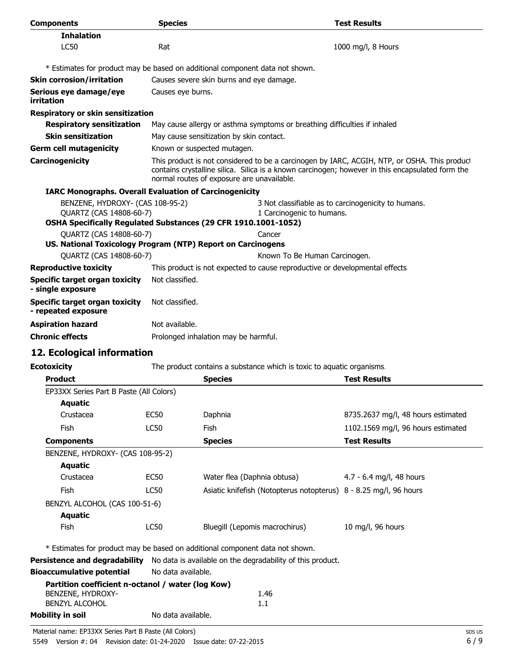| <b>Components</b>                                             | <b>Species</b>                                                              |                                                                                                                                                                                                                                                | <b>Test Results</b>                                 |  |
|---------------------------------------------------------------|-----------------------------------------------------------------------------|------------------------------------------------------------------------------------------------------------------------------------------------------------------------------------------------------------------------------------------------|-----------------------------------------------------|--|
| <b>Inhalation</b>                                             |                                                                             |                                                                                                                                                                                                                                                |                                                     |  |
| LC50                                                          | Rat                                                                         |                                                                                                                                                                                                                                                | 1000 mg/l, 8 Hours                                  |  |
|                                                               |                                                                             | * Estimates for product may be based on additional component data not shown.                                                                                                                                                                   |                                                     |  |
| <b>Skin corrosion/irritation</b>                              |                                                                             | Causes severe skin burns and eye damage.                                                                                                                                                                                                       |                                                     |  |
| Serious eye damage/eye<br>irritation                          |                                                                             | Causes eye burns.                                                                                                                                                                                                                              |                                                     |  |
| Respiratory or skin sensitization                             |                                                                             |                                                                                                                                                                                                                                                |                                                     |  |
| <b>Respiratory sensitization</b>                              |                                                                             | May cause allergy or asthma symptoms or breathing difficulties if inhaled                                                                                                                                                                      |                                                     |  |
| <b>Skin sensitization</b>                                     |                                                                             | May cause sensitization by skin contact.                                                                                                                                                                                                       |                                                     |  |
| <b>Germ cell mutagenicity</b>                                 |                                                                             | Known or suspected mutagen.                                                                                                                                                                                                                    |                                                     |  |
| Carcinogenicity                                               |                                                                             | This product is not considered to be a carcinogen by IARC, ACGIH, NTP, or OSHA. This product<br>contains crystalline silica. Silica is a known carcinogen; however in this encapsulated form the<br>normal routes of exposure are unavailable. |                                                     |  |
| <b>IARC Monographs. Overall Evaluation of Carcinogenicity</b> |                                                                             |                                                                                                                                                                                                                                                |                                                     |  |
| BENZENE, HYDROXY- (CAS 108-95-2)<br>QUARTZ (CAS 14808-60-7)   |                                                                             | 1 Carcinogenic to humans.<br>OSHA Specifically Regulated Substances (29 CFR 1910.1001-1052)                                                                                                                                                    | 3 Not classifiable as to carcinogenicity to humans. |  |
| QUARTZ (CAS 14808-60-7)                                       |                                                                             | Cancer                                                                                                                                                                                                                                         |                                                     |  |
| US. National Toxicology Program (NTP) Report on Carcinogens   |                                                                             |                                                                                                                                                                                                                                                |                                                     |  |
| <b>OUARTZ (CAS 14808-60-7)</b>                                |                                                                             | Known To Be Human Carcinogen.                                                                                                                                                                                                                  |                                                     |  |
| <b>Reproductive toxicity</b>                                  | This product is not expected to cause reproductive or developmental effects |                                                                                                                                                                                                                                                |                                                     |  |
| <b>Specific target organ toxicity</b><br>- single exposure    | Not classified.                                                             |                                                                                                                                                                                                                                                |                                                     |  |
| <b>Specific target organ toxicity</b><br>- repeated exposure  | Not classified.                                                             |                                                                                                                                                                                                                                                |                                                     |  |
| <b>Aspiration hazard</b>                                      | Not available.                                                              |                                                                                                                                                                                                                                                |                                                     |  |
| <b>Chronic effects</b>                                        | Prolonged inhalation may be harmful.                                        |                                                                                                                                                                                                                                                |                                                     |  |
| 12. Ecological information                                    |                                                                             |                                                                                                                                                                                                                                                |                                                     |  |
| <b>Ecotoxicity</b>                                            | The product contains a substance which is toxic to aguatic organisms.       |                                                                                                                                                                                                                                                |                                                     |  |
| <b>Product</b>                                                |                                                                             | <b>Species</b>                                                                                                                                                                                                                                 | <b>Test Results</b>                                 |  |
| EP33XX Series Part B Paste (All Colors)                       |                                                                             |                                                                                                                                                                                                                                                |                                                     |  |
| <b>Aquatic</b>                                                |                                                                             |                                                                                                                                                                                                                                                |                                                     |  |
| Crustacea                                                     | <b>EC50</b>                                                                 | Daphnia                                                                                                                                                                                                                                        | 8735.2637 mg/l, 48 hours estimated                  |  |
| Fish                                                          | <b>LC50</b>                                                                 | Fish                                                                                                                                                                                                                                           | 1102.1569 mg/l, 96 hours estimated                  |  |
| Components                                                    |                                                                             | Species                                                                                                                                                                                                                                        | <b>Test Results</b>                                 |  |

| <b>Components</b>                |      | <b>Species</b>                                                    | i est resuits            |
|----------------------------------|------|-------------------------------------------------------------------|--------------------------|
| BENZENE, HYDROXY- (CAS 108-95-2) |      |                                                                   |                          |
| Aquatic                          |      |                                                                   |                          |
| Crustacea                        | EC50 | Water flea (Daphnia obtusa)                                       | 4.7 - 6.4 mg/l, 48 hours |
| <b>Fish</b>                      | LC50 | Asiatic knifefish (Notopterus notopterus) 8 - 8.25 mg/l, 96 hours |                          |
| BENZYL ALCOHOL (CAS 100-51-6)    |      |                                                                   |                          |
| Aquatic                          |      |                                                                   |                          |
| <b>Fish</b>                      | LC50 | Bluegill (Lepomis macrochirus)                                    | 10 mg/l, 96 hours        |
|                                  |      |                                                                   |                          |

\* Estimates for product may be based on additional component data not shown.

**Persistence and degradability** No data is available on the degradability of this product.

**Bioaccumulative potential** No data available.

|                   | Partition coefficient n-octanol / water (log Kow) |      |
|-------------------|---------------------------------------------------|------|
| BENZENE, HYDROXY- |                                                   | 1.46 |
| BENZYL ALCOHOL    |                                                   | 1.1  |
| Mobility in soil  | No data available.                                |      |

5549 Version #: 04 Revision date: 01-24-2020 Issue date: 07-22-2015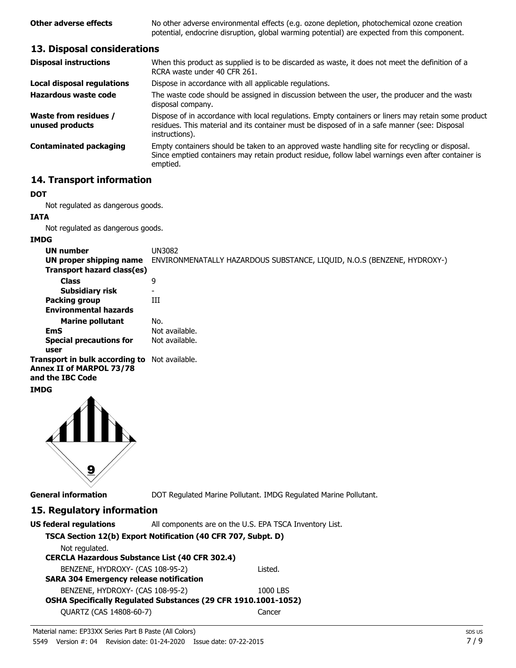**Other adverse effects** No other adverse environmental effects (e.g. ozone depletion, photochemical ozone creation potential, endocrine disruption, global warming potential) are expected from this component.

## **13. Disposal considerations**

| When this product as supplied is to be discarded as waste, it does not meet the definition of a<br>RCRA waste under 40 CFR 261.                                                                                        |
|------------------------------------------------------------------------------------------------------------------------------------------------------------------------------------------------------------------------|
| Dispose in accordance with all applicable regulations.                                                                                                                                                                 |
| The waste code should be assigned in discussion between the user, the producer and the waste<br>disposal company.                                                                                                      |
| Dispose of in accordance with local regulations. Empty containers or liners may retain some product<br>residues. This material and its container must be disposed of in a safe manner (see: Disposal<br>instructions). |
| Empty containers should be taken to an approved waste handling site for recycling or disposal.<br>Since emptied containers may retain product residue, follow label warnings even after container is<br>emptied.       |
|                                                                                                                                                                                                                        |

## **14. Transport information**

#### **DOT**

Not regulated as dangerous goods.

**IATA**

Not regulated as dangerous goods.

#### **IMDG**

| <b>UN number</b><br>UN proper shipping name                                    | UN3082<br>ENVIRONMENATALLY HAZARDOUS SUBSTANCE, LIQUID, N.O.S (BENZENE, HYDROXY-) |
|--------------------------------------------------------------------------------|-----------------------------------------------------------------------------------|
| Transport hazard class(es)                                                     |                                                                                   |
| <b>Class</b>                                                                   | 9                                                                                 |
| Subsidiary risk                                                                |                                                                                   |
| <b>Packing group</b>                                                           | Ш                                                                                 |
| <b>Environmental hazards</b>                                                   |                                                                                   |
| <b>Marine pollutant</b>                                                        | No.                                                                               |
| EmS                                                                            | Not available.                                                                    |
| <b>Special precautions for</b>                                                 | Not available.                                                                    |
| user                                                                           |                                                                                   |
| Transport in bulk according to<br>Annex II of MARPOL 73/78<br>and the IBC Code | Not available.                                                                    |

## **IMDG**



**General information** DOT Regulated Marine Pollutant. IMDG Regulated Marine Pollutant.

## **15. Regulatory information**

| <b>US federal regulations</b>                                  | All components are on the U.S. EPA TSCA Inventory List. |
|----------------------------------------------------------------|---------------------------------------------------------|
| TSCA Section 12(b) Export Notification (40 CFR 707, Subpt. D)  |                                                         |
| Not regulated.                                                 |                                                         |
| <b>CERCLA Hazardous Substance List (40 CFR 302.4)</b>          |                                                         |
| BENZENE, HYDROXY- (CAS 108-95-2)                               | Listed.                                                 |
| <b>SARA 304 Emergency release notification</b>                 |                                                         |
| BENZENE, HYDROXY- (CAS 108-95-2)                               | 1000 LBS                                                |
| OSHA Specifically Regulated Substances (29 CFR 1910.1001-1052) |                                                         |
| QUARTZ (CAS 14808-60-7)                                        | Cancer                                                  |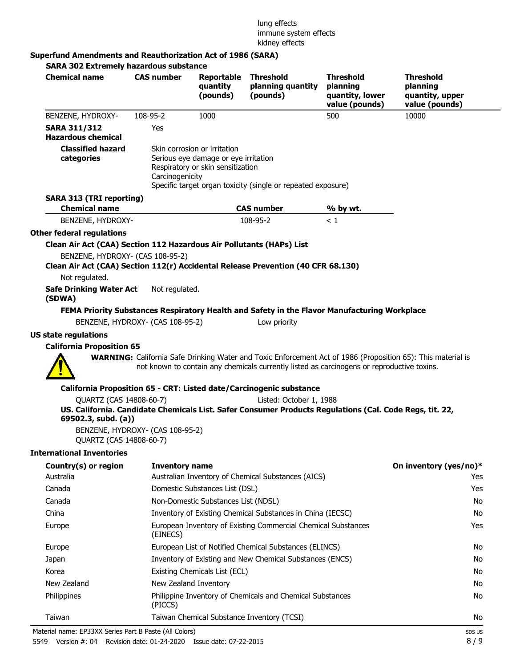#### lung effects immune system effects kidney effects

## **Superfund Amendments and Reauthorization Act of 1986 (SARA)**

| <b>Chemical name</b>                                                                                                 | <b>CAS number</b>                | Reportable<br>quantity<br>(pounds)                                                                        | <b>Threshold</b><br>planning quantity<br>(pounds)                                                                                                                                                                 | <b>Threshold</b><br>planning<br>quantity, lower<br>value (pounds) | <b>Threshold</b><br>planning<br>quantity, upper<br>value (pounds) |
|----------------------------------------------------------------------------------------------------------------------|----------------------------------|-----------------------------------------------------------------------------------------------------------|-------------------------------------------------------------------------------------------------------------------------------------------------------------------------------------------------------------------|-------------------------------------------------------------------|-------------------------------------------------------------------|
| BENZENE, HYDROXY-                                                                                                    | 108-95-2                         | 1000                                                                                                      |                                                                                                                                                                                                                   | 500                                                               | 10000                                                             |
| <b>SARA 311/312</b><br><b>Hazardous chemical</b>                                                                     | Yes                              |                                                                                                           |                                                                                                                                                                                                                   |                                                                   |                                                                   |
| <b>Classified hazard</b><br>categories                                                                               | Carcinogenicity                  | Skin corrosion or irritation<br>Serious eye damage or eye irritation<br>Respiratory or skin sensitization | Specific target organ toxicity (single or repeated exposure)                                                                                                                                                      |                                                                   |                                                                   |
| <b>SARA 313 (TRI reporting)</b>                                                                                      |                                  |                                                                                                           |                                                                                                                                                                                                                   |                                                                   |                                                                   |
| <b>Chemical name</b>                                                                                                 |                                  |                                                                                                           | <b>CAS number</b>                                                                                                                                                                                                 | % by wt.                                                          |                                                                   |
| BENZENE, HYDROXY-                                                                                                    |                                  |                                                                                                           | 108-95-2                                                                                                                                                                                                          | < 1                                                               |                                                                   |
| Other federal regulations                                                                                            |                                  |                                                                                                           |                                                                                                                                                                                                                   |                                                                   |                                                                   |
| Clean Air Act (CAA) Section 112 Hazardous Air Pollutants (HAPs) List                                                 |                                  |                                                                                                           |                                                                                                                                                                                                                   |                                                                   |                                                                   |
| BENZENE, HYDROXY- (CAS 108-95-2)<br>Clean Air Act (CAA) Section 112(r) Accidental Release Prevention (40 CFR 68.130) |                                  |                                                                                                           |                                                                                                                                                                                                                   |                                                                   |                                                                   |
| Not regulated.                                                                                                       |                                  |                                                                                                           |                                                                                                                                                                                                                   |                                                                   |                                                                   |
| <b>Safe Drinking Water Act</b><br>(SDWA)                                                                             | Not regulated.                   |                                                                                                           |                                                                                                                                                                                                                   |                                                                   |                                                                   |
|                                                                                                                      |                                  |                                                                                                           | FEMA Priority Substances Respiratory Health and Safety in the Flavor Manufacturing Workplace                                                                                                                      |                                                                   |                                                                   |
|                                                                                                                      | BENZENE, HYDROXY- (CAS 108-95-2) |                                                                                                           | Low priority                                                                                                                                                                                                      |                                                                   |                                                                   |
| <b>US state regulations</b>                                                                                          |                                  |                                                                                                           |                                                                                                                                                                                                                   |                                                                   |                                                                   |
| <b>California Proposition 65</b>                                                                                     |                                  |                                                                                                           |                                                                                                                                                                                                                   |                                                                   |                                                                   |
|                                                                                                                      |                                  |                                                                                                           | <b>WARNING:</b> California Safe Drinking Water and Toxic Enforcement Act of 1986 (Proposition 65): This material is<br>not known to contain any chemicals currently listed as carcinogens or reproductive toxins. |                                                                   |                                                                   |
|                                                                                                                      |                                  |                                                                                                           | California Proposition 65 - CRT: Listed date/Carcinogenic substance                                                                                                                                               |                                                                   |                                                                   |
| QUARTZ (CAS 14808-60-7)<br>69502.3, subd. (a))                                                                       |                                  |                                                                                                           | Listed: October 1, 1988<br>US. California. Candidate Chemicals List. Safer Consumer Products Regulations (Cal. Code Regs, tit. 22,                                                                                |                                                                   |                                                                   |
| QUARTZ (CAS 14808-60-7)                                                                                              | BENZENE, HYDROXY- (CAS 108-95-2) |                                                                                                           |                                                                                                                                                                                                                   |                                                                   |                                                                   |
| <b>International Inventories</b>                                                                                     |                                  |                                                                                                           |                                                                                                                                                                                                                   |                                                                   |                                                                   |
| Country(s) or region                                                                                                 | <b>Inventory name</b>            |                                                                                                           |                                                                                                                                                                                                                   |                                                                   | On inventory (yes/no)*                                            |
| Australia                                                                                                            |                                  |                                                                                                           | Australian Inventory of Chemical Substances (AICS)                                                                                                                                                                |                                                                   | Yes                                                               |
| Canada                                                                                                               |                                  | Domestic Substances List (DSL)                                                                            |                                                                                                                                                                                                                   |                                                                   | Yes                                                               |
| Canada                                                                                                               |                                  | Non-Domestic Substances List (NDSL)                                                                       |                                                                                                                                                                                                                   |                                                                   | No                                                                |
| China                                                                                                                |                                  |                                                                                                           | Inventory of Existing Chemical Substances in China (IECSC)                                                                                                                                                        |                                                                   | No                                                                |
| Europe                                                                                                               |                                  |                                                                                                           | European Inventory of Existing Commercial Chemical Substances                                                                                                                                                     |                                                                   | Yes                                                               |

| Europe                                                | European Inventory of Existing Commercial Chemical Substances<br>(EINECS) | Yes    |
|-------------------------------------------------------|---------------------------------------------------------------------------|--------|
| Europe                                                | European List of Notified Chemical Substances (ELINCS)                    | No     |
| Japan                                                 | Inventory of Existing and New Chemical Substances (ENCS)                  | No     |
| Korea                                                 | Existing Chemicals List (ECL)                                             | No     |
| New Zealand                                           | New Zealand Inventory                                                     | No     |
| Philippines                                           | Philippine Inventory of Chemicals and Chemical Substances<br>(PICCS)      | No     |
| Taiwan                                                | Taiwan Chemical Substance Inventory (TCSI)                                | No     |
| aterial name: EP33XX Series Part B Paste (All Colors) |                                                                           | SDS US |